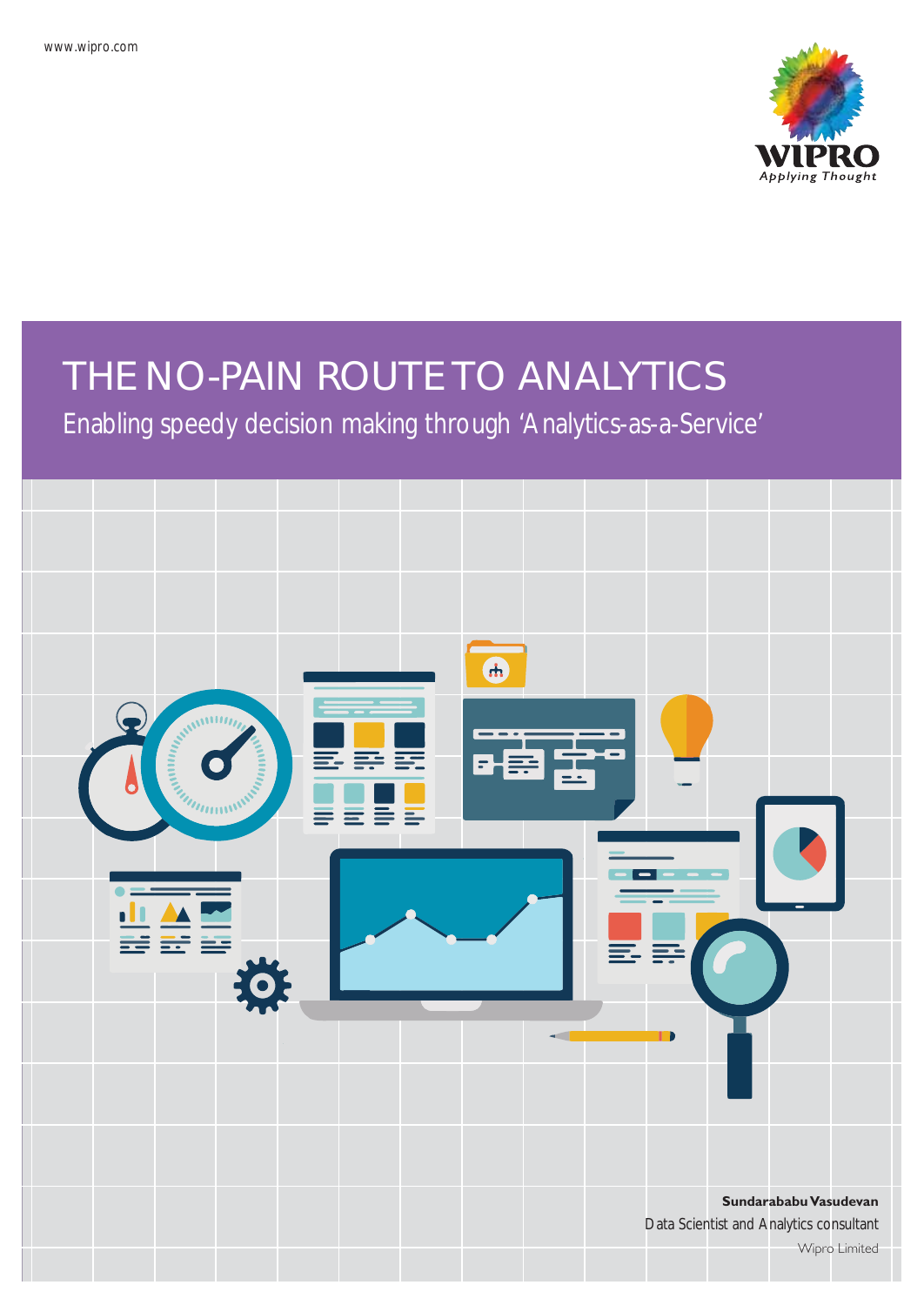

# THE NO-PAIN ROUTE TO ANALYTICS

Enabling speedy decision making through 'Analytics-as-a-Service'

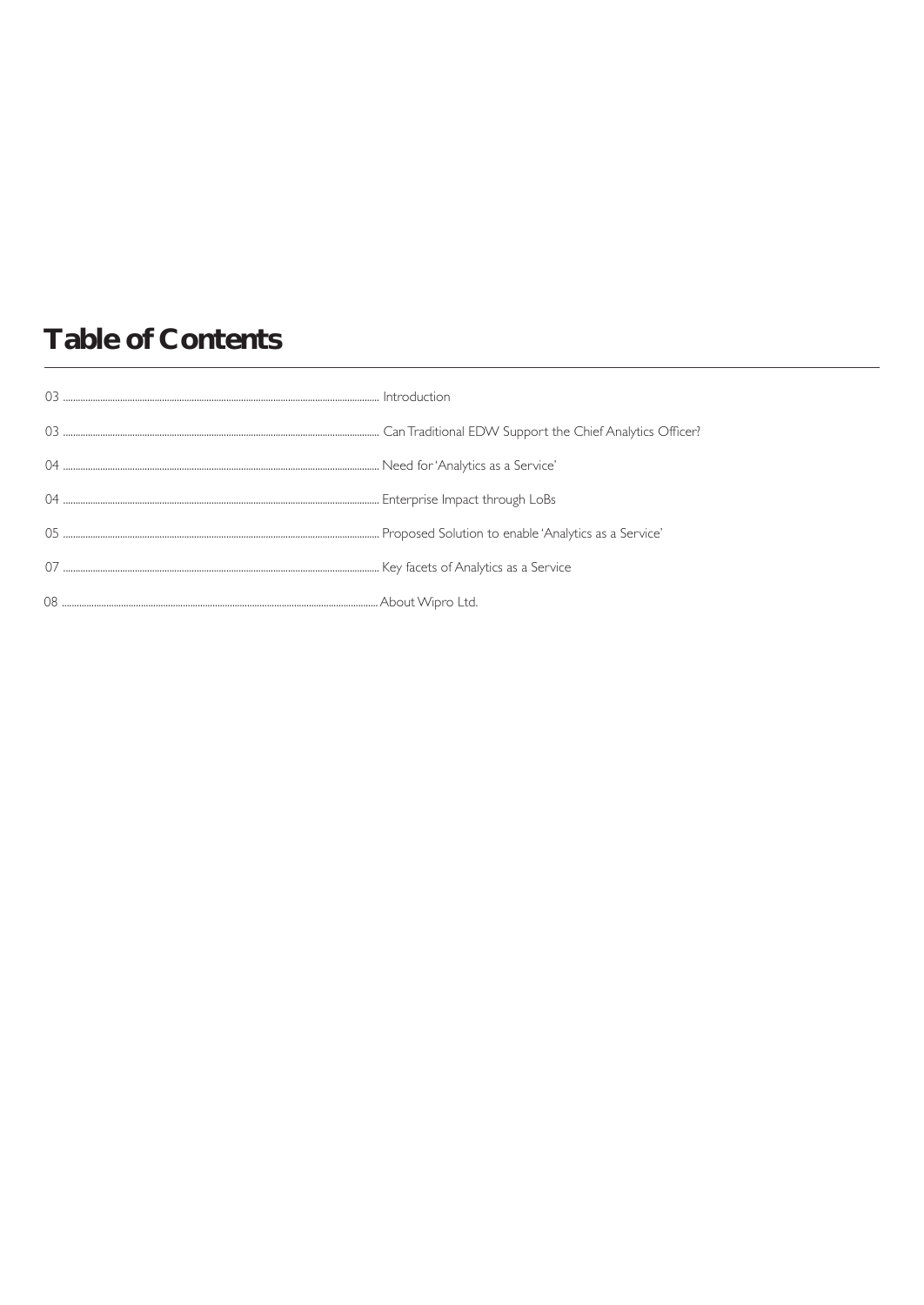# **Table of Contents**

| 03 |  |
|----|--|
|    |  |
|    |  |
|    |  |
|    |  |
|    |  |
|    |  |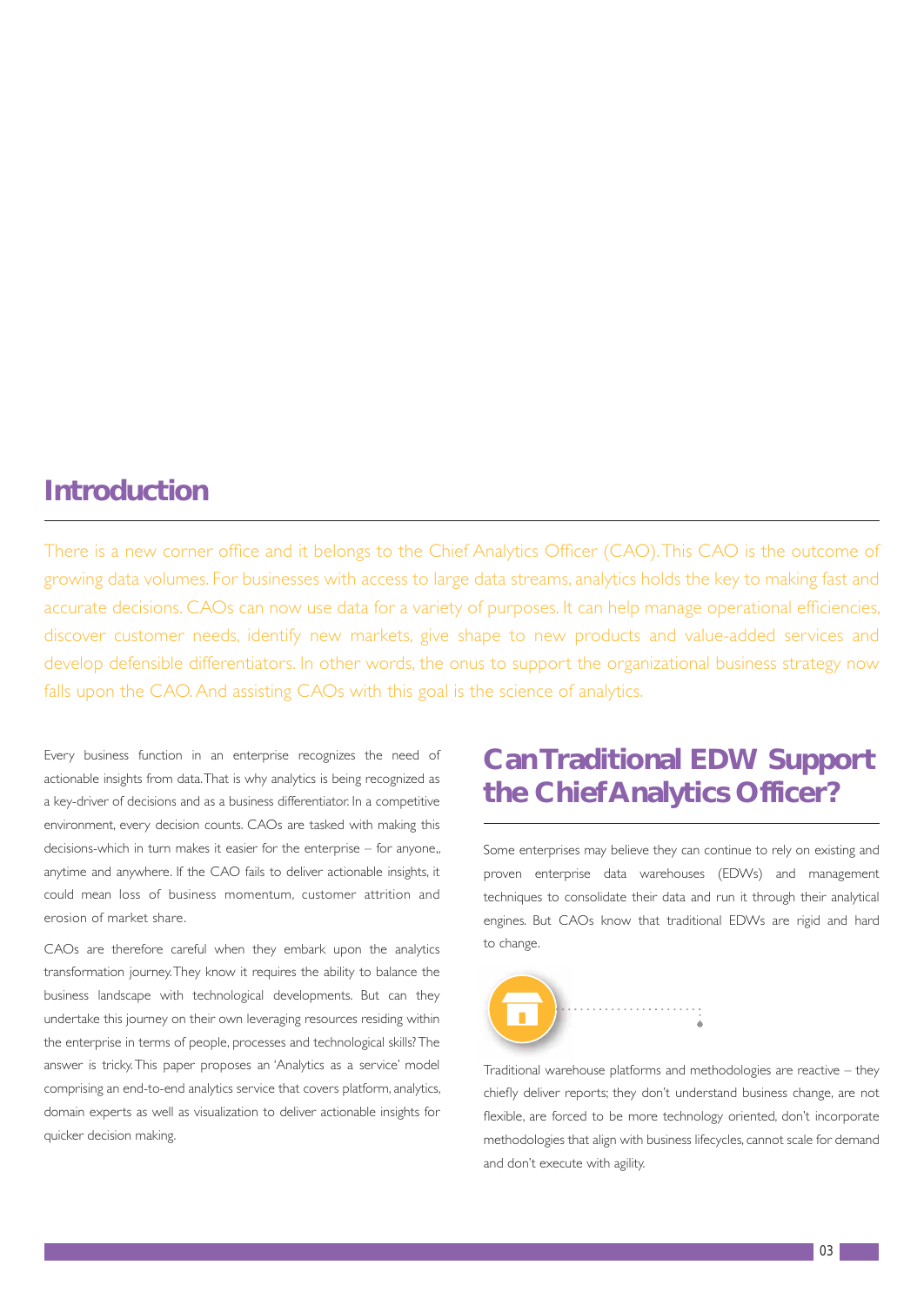### **Introduction**

There is a new corner office and it belongs to the Chief Analytics Officer (CAO). This CAO is the outcome of growing data volumes. For businesses with access to large data streams, analytics holds the key to making fast and accurate decisions. CAOs can now use data for a variety of purposes. It can help manage operational efficiencies, discover customer needs, identify new markets, give shape to new products and value-added services and develop defensible differentiators. In other words, the onus to support the organizational business strategy now falls upon the CAO. And assisting CAOs with this goal is the science of analytics.

Every business function in an enterprise recognizes the need of actionable insights from data. That is why analytics is being recognized as a key-driver of decisions and as a business differentiator. In a competitive environment, every decision counts. CAOs are tasked with making this decisions-which in turn makes it easier for the enterprise – for anyone,, anytime and anywhere. If the CAO fails to deliver actionable insights, it could mean loss of business momentum, customer attrition and erosion of market share.

CAOs are therefore careful when they embark upon the analytics transformation journey. They know it requires the ability to balance the business landscape with technological developments. But can they undertake this journey on their own leveraging resources residing within the enterprise in terms of people, processes and technological skills? The answer is tricky. This paper proposes an 'Analytics as a service' model comprising an end-to-end analytics service that covers platform, analytics, domain experts as well as visualization to deliver actionable insights for quicker decision making.

# **Can Traditional EDW Support the Chief Analytics Officer?**

 Some enterprises may believe they can continue to rely on existing and proven enterprise data warehouses (EDWs) and management techniques to consolidate their data and run it through their analytical engines. But CAOs know that traditional EDWs are rigid and hard to change.



Traditional warehouse platforms and methodologies are reactive – they chiefly deliver reports; they don't understand business change, are not flexible, are forced to be more technology oriented, don't incorporate methodologies that align with business lifecycles, cannot scale for demand and don't execute with agility.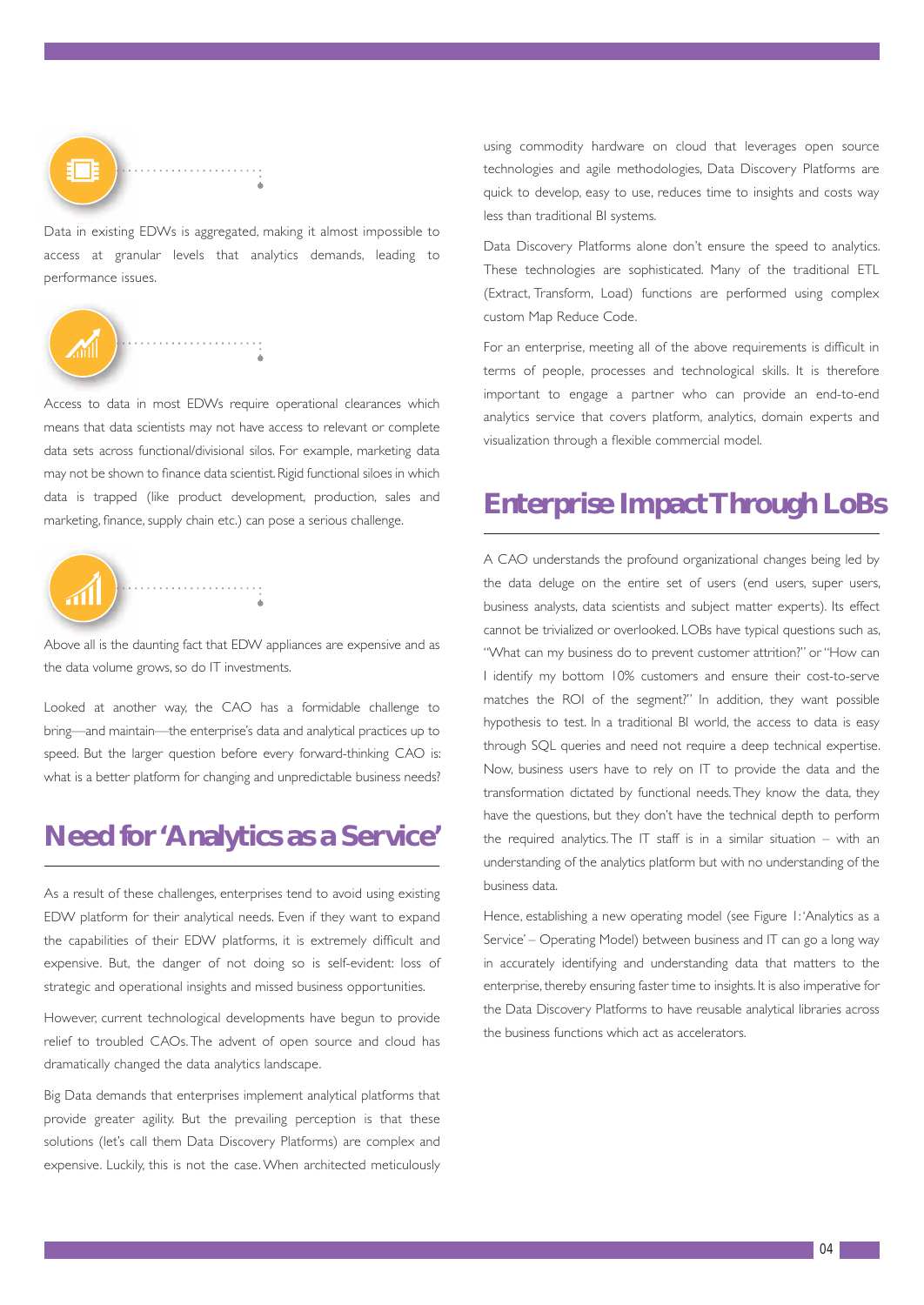

Data in existing EDWs is aggregated, making it almost impossible to access at granular levels that analytics demands, leading to performance issues.



Access to data in most EDWs require operational clearances which means that data scientists may not have access to relevant or complete data sets across functional/divisional silos. For example, marketing data may not be shown to finance data scientist. Rigid functional siloes in which data is trapped (like product development, production, sales and marketing, finance, supply chain etc.) can pose a serious challenge.



Above all is the daunting fact that EDW appliances are expensive and as the data volume grows, so do IT investments.

Looked at another way, the CAO has a formidable challenge to bring—and maintain—the enterprise's data and analytical practices up to speed. But the larger question before every forward-thinking CAO is: what is a better platform for changing and unpredictable business needs?

### **Need for 'Analytics as a Service'**

As a result of these challenges, enterprises tend to avoid using existing EDW platform for their analytical needs. Even if they want to expand the capabilities of their EDW platforms, it is extremely difficult and expensive. But, the danger of not doing so is self-evident: loss of strategic and operational insights and missed business opportunities.

However, current technological developments have begun to provide relief to troubled CAOs. The advent of open source and cloud has dramatically changed the data analytics landscape.

Big Data demands that enterprises implement analytical platforms that provide greater agility. But the prevailing perception is that these solutions (let's call them Data Discovery Platforms) are complex and expensive. Luckily, this is not the case. When architected meticulously

using commodity hardware on cloud that leverages open source technologies and agile methodologies, Data Discovery Platforms are quick to develop, easy to use, reduces time to insights and costs way less than traditional BI systems.

Data Discovery Platforms alone don't ensure the speed to analytics. These technologies are sophisticated. Many of the traditional ETL (Extract, Transform, Load) functions are performed using complex custom Map Reduce Code.

For an enterprise, meeting all of the above requirements is difficult in terms of people, processes and technological skills. It is therefore important to engage a partner who can provide an end-to-end analytics service that covers platform, analytics, domain experts and visualization through a flexible commercial model.

### **Enterprise Impact Through LoBs**

A CAO understands the profound organizational changes being led by the data deluge on the entire set of users (end users, super users, business analysts, data scientists and subject matter experts). Its effect cannot be trivialized or overlooked. LOBs have typical questions such as, "What can my business do to prevent customer attrition?" or "How can I identify my bottom 10% customers and ensure their cost-to-serve matches the ROI of the segment?" In addition, they want possible hypothesis to test. In a traditional BI world, the access to data is easy through SQL queries and need not require a deep technical expertise. Now, business users have to rely on IT to provide the data and the transformation dictated by functional needs. They know the data, they have the questions, but they don't have the technical depth to perform the required analytics. The IT staff is in a similar situation – with an understanding of the analytics platform but with no understanding of the business data.

Hence, establishing a new operating model (see Figure 1: 'Analytics as a Service' – Operating Model) between business and IT can go a long way in accurately identifying and understanding data that matters to the enterprise, thereby ensuring faster time to insights. It is also imperative for the Data Discovery Platforms to have reusable analytical libraries across the business functions which act as accelerators.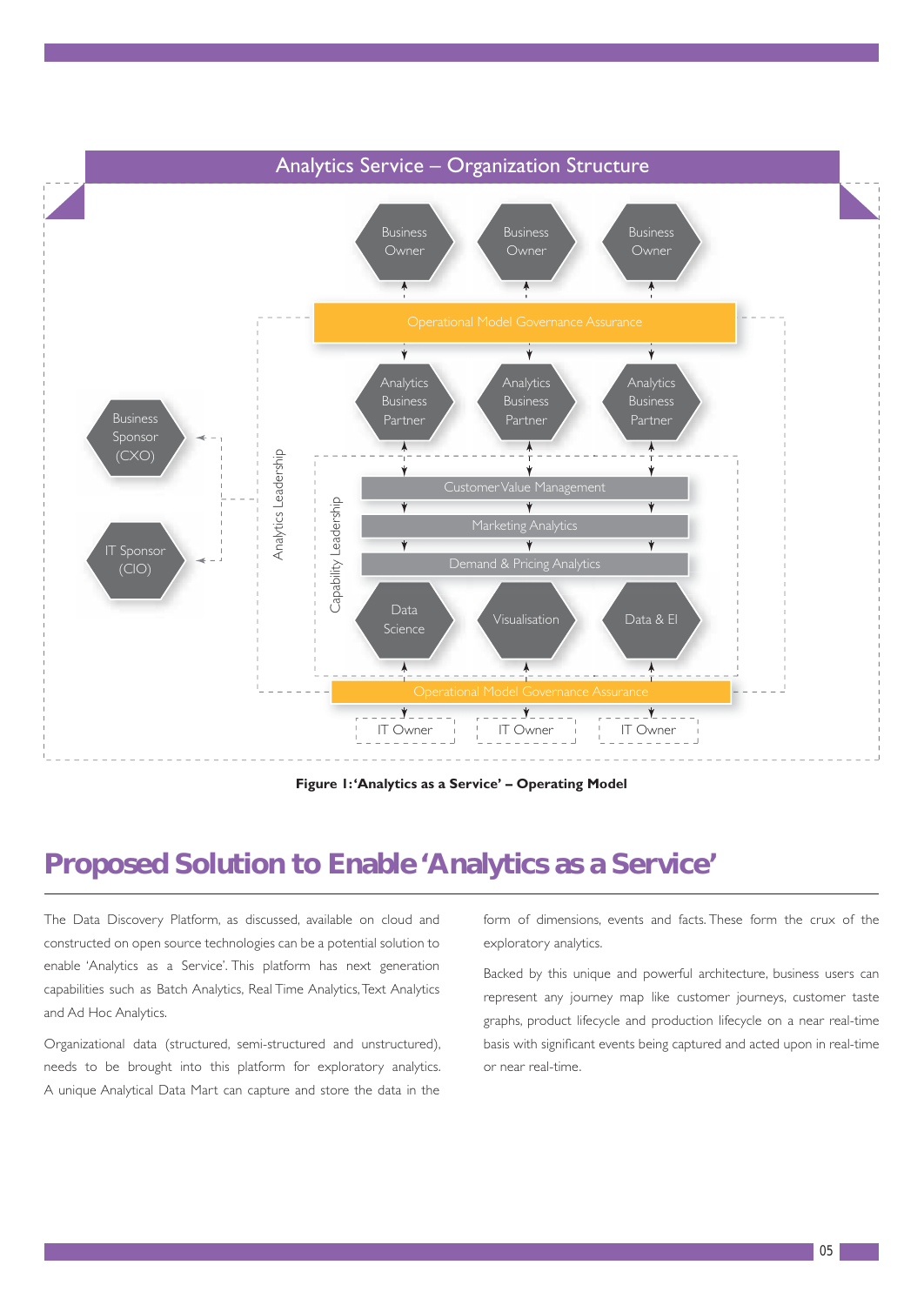

### **Proposed Solution to Enable 'Analytics as a Service'**

The Data Discovery Platform, as discussed, available on cloud and constructed on open source technologies can be a potential solution to enable 'Analytics as a Service'. This platform has next generation capabilities such as Batch Analytics, Real Time Analytics, Text Analytics and Ad Hoc Analytics.

Organizational data (structured, semi-structured and unstructured), needs to be brought into this platform for exploratory analytics. A unique Analytical Data Mart can capture and store the data in the form of dimensions, events and facts. These form the crux of the exploratory analytics.

Backed by this unique and powerful architecture, business users can represent any journey map like customer journeys, customer taste graphs, product lifecycle and production lifecycle on a near real-time basis with significant events being captured and acted upon in real-time or near real-time.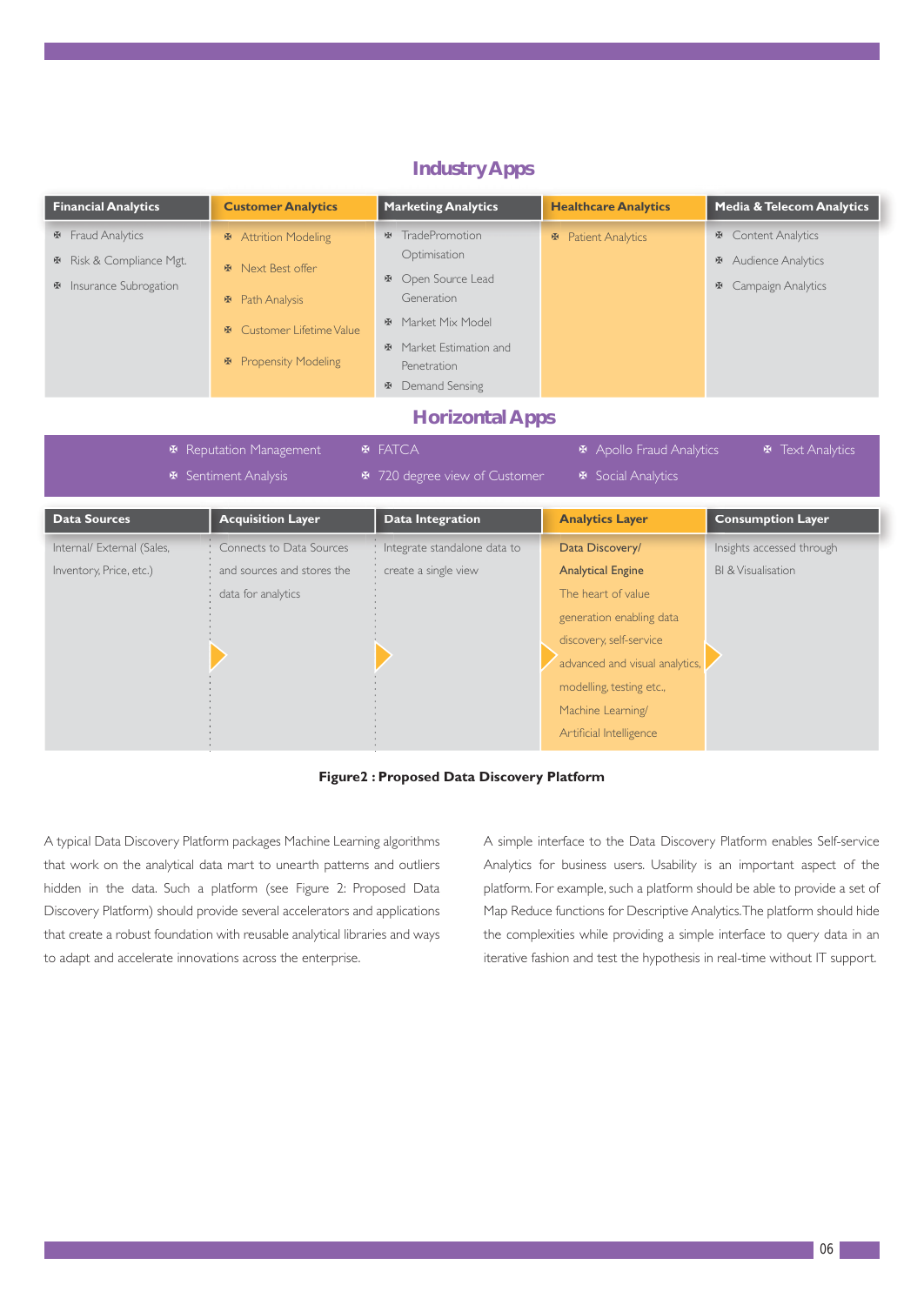|                                                                                       |                                                                                                                                                      |                                                                                                                                                                                                                                                | <b>Healthcare Analytics</b>               | <b>Media &amp; Telecom Analytics</b>                                                     |
|---------------------------------------------------------------------------------------|------------------------------------------------------------------------------------------------------------------------------------------------------|------------------------------------------------------------------------------------------------------------------------------------------------------------------------------------------------------------------------------------------------|-------------------------------------------|------------------------------------------------------------------------------------------|
| Fraud Analytics<br>图<br><b>E</b> Risk & Compliance Mgt.<br>Insurance Subrogation<br>啞 | <b>※</b> Attrition Modeling<br><b>E</b> Next Best offer<br><b>E</b> Path Analysis<br>Customer Lifetime Value<br>图<br><b>Propensity Modeling</b><br>图 | <b><math>\mathbf</math> TradePromotion</b><br>Optimisation<br><b>E</b> Open Source Lead<br>Generation<br><b>E</b> Market Mix Model<br><b><math>\Phi</math></b> Market Estimation and<br>Penetration<br><b><math>\Phi</math></b> Demand Sensing | <b>₩</b> Patient Analytics                | <b>E</b> Content Analytics<br><b>E</b> Audience Analytics<br><b>E</b> Campaign Analytics |
|                                                                                       |                                                                                                                                                      | <b>Horizontal Apps</b>                                                                                                                                                                                                                         |                                           |                                                                                          |
|                                                                                       | <b>※</b> Sentiment Analysis                                                                                                                          | <b><math>\Phi</math></b> 720 degree view of Customer                                                                                                                                                                                           | <b><math>\Phi</math></b> Social Analytics |                                                                                          |
| <b>Data Sources</b>                                                                   | <b>Acquisition Layer</b>                                                                                                                             | <b>Data Integration</b>                                                                                                                                                                                                                        | <b>Analytics Layer</b>                    | <b>Consumption Layer</b>                                                                 |

#### **Industry Apps**



A typical Data Discovery Platform packages Machine Learning algorithms that work on the analytical data mart to unearth patterns and outliers hidden in the data. Such a platform (see Figure 2: Proposed Data Discovery Platform) should provide several accelerators and applications that create a robust foundation with reusable analytical libraries and ways to adapt and accelerate innovations across the enterprise.

A simple interface to the Data Discovery Platform enables Self-service Analytics for business users. Usability is an important aspect of the platform. For example, such a platform should be able to provide a set of Map Reduce functions for Descriptive Analytics. The platform should hide the complexities while providing a simple interface to query data in an iterative fashion and test the hypothesis in real-time without IT support.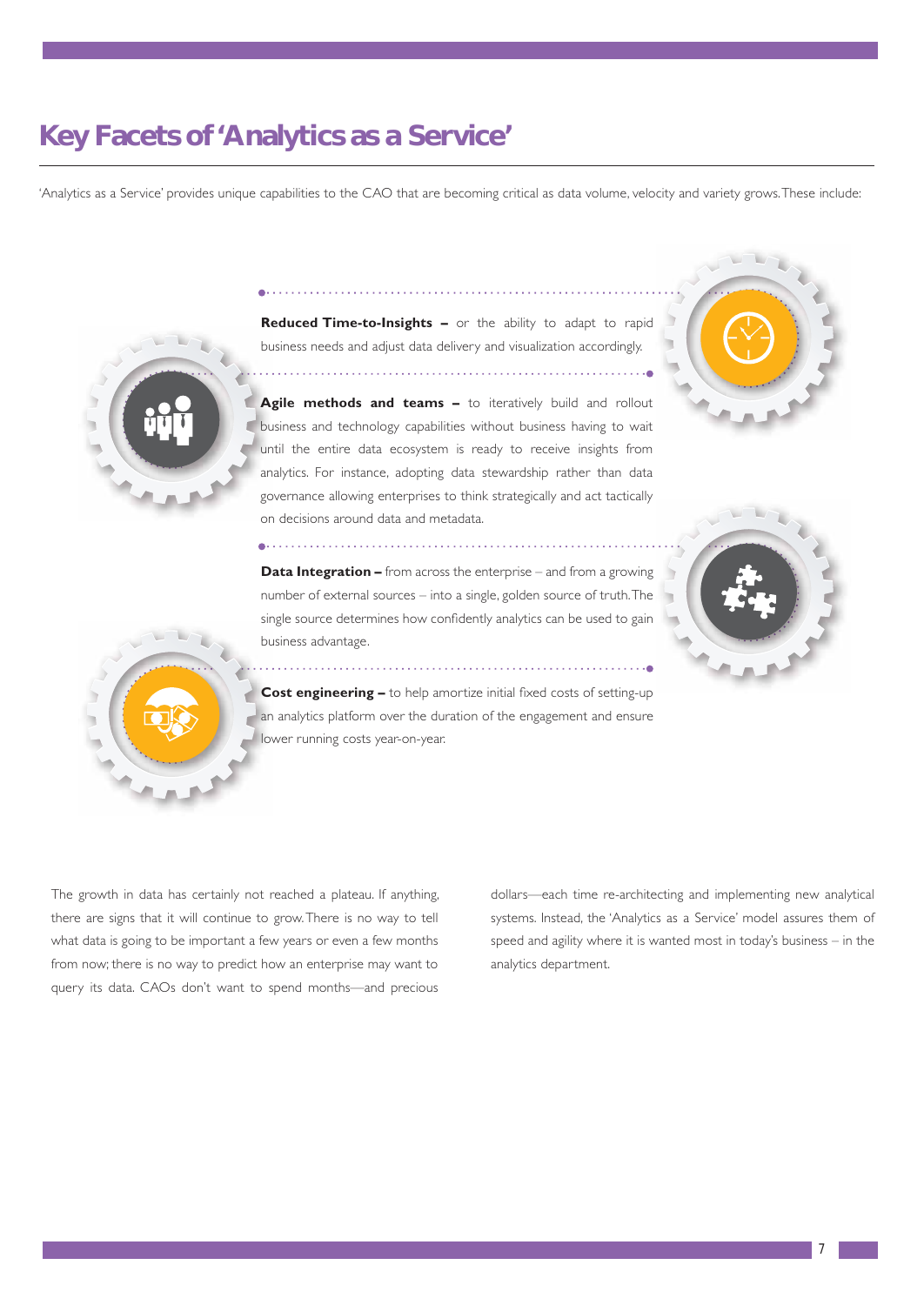# **Key Facets of 'Analytics as a Service'**

'Analytics as a Service' provides unique capabilities to the CAO that are becoming critical as data volume, velocity and variety grows. These include:



**Reduced Time-to-Insights –** or the ability to adapt to rapid business needs and adjust data delivery and visualization accordingly.

Agile methods and teams - to iteratively build and rollout business and technology capabilities without business having to wait until the entire data ecosystem is ready to receive insights from analytics. For instance, adopting data stewardship rather than data governance allowing enterprises to think strategically and act tactically on decisions around data and metadata.

**Data Integration –** from across the enterprise – and from a growing number of external sources – into a single, golden source of truth. The single source determines how confidently analytics can be used to gain business advantage.







**Cost engineering –** to help amortize initial fixed costs of setting-up an analytics platform over the duration of the engagement and ensure lower running costs year-on-year.

The growth in data has certainly not reached a plateau. If anything, there are signs that it will continue to grow. There is no way to tell what data is going to be important a few years or even a few months from now; there is no way to predict how an enterprise may want to query its data. CAOs don't want to spend months—and precious dollars—each time re-architecting and implementing new analytical systems. Instead, the 'Analytics as a Service' model assures them of speed and agility where it is wanted most in today's business – in the analytics department.

. . . . . . . . . . . . .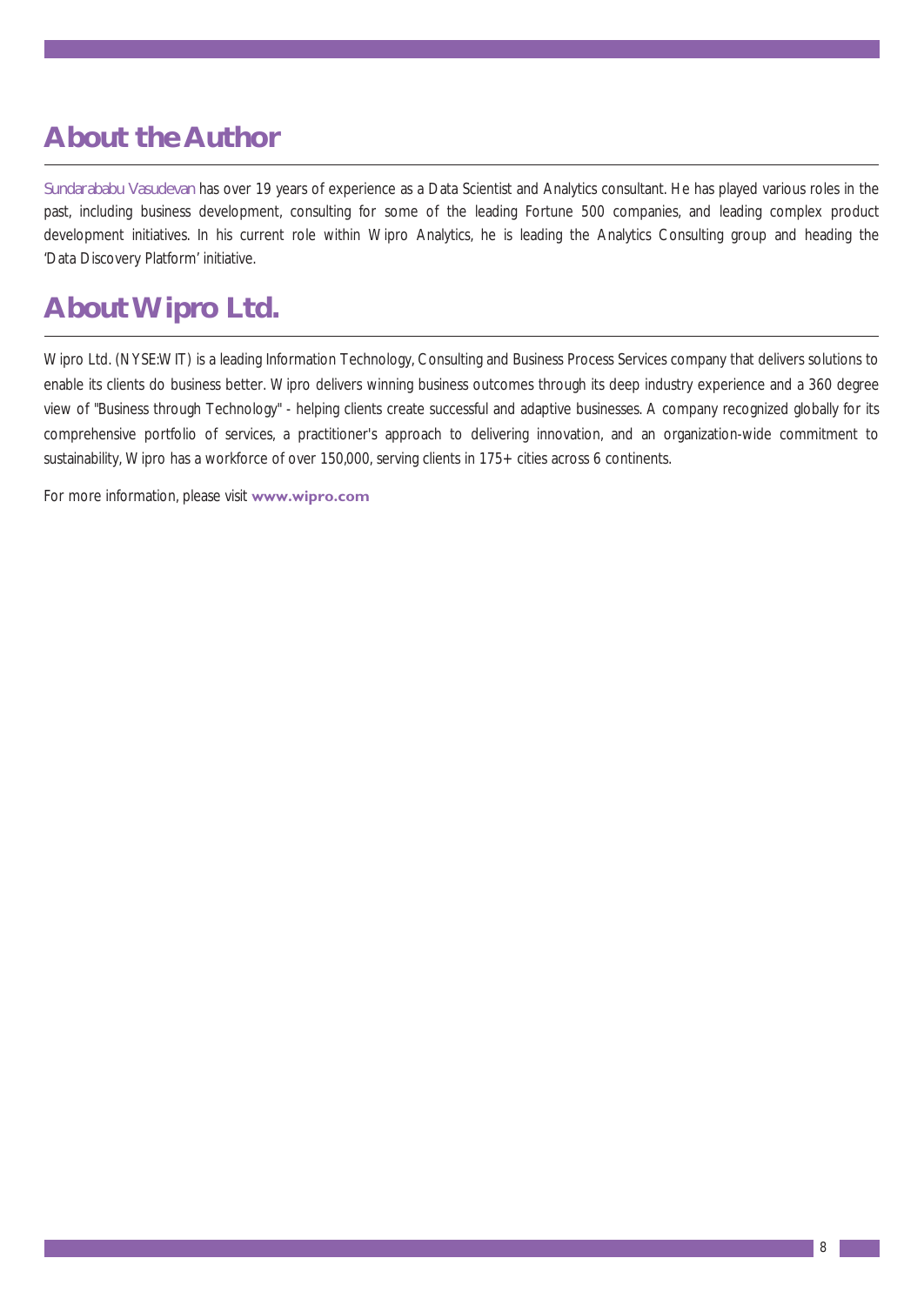# **About the Author**

Sundarababu Vasudevan has over 19 years of experience as a Data Scientist and Analytics consultant. He has played various roles in the past, including business development, consulting for some of the leading Fortune 500 companies, and leading complex product development initiatives. In his current role within Wipro Analytics, he is leading the Analytics Consulting group and heading the 'Data Discovery Platform' initiative.

# **About Wipro Ltd.**

Wipro Ltd. (NYSE:WIT) is a leading Information Technology, Consulting and Business Process Services company that delivers solutions to enable its clients do business better. Wipro delivers winning business outcomes through its deep industry experience and a 360 degree view of "Business through Technology" - helping clients create successful and adaptive businesses. A company recognized globally for its comprehensive portfolio of services, a practitioner's approach to delivering innovation, and an organization-wide commitment to sustainability, Wipro has a workforce of over 150,000, serving clients in 175+ cities across 6 continents.

For more information, please visit **www.wipro.com**